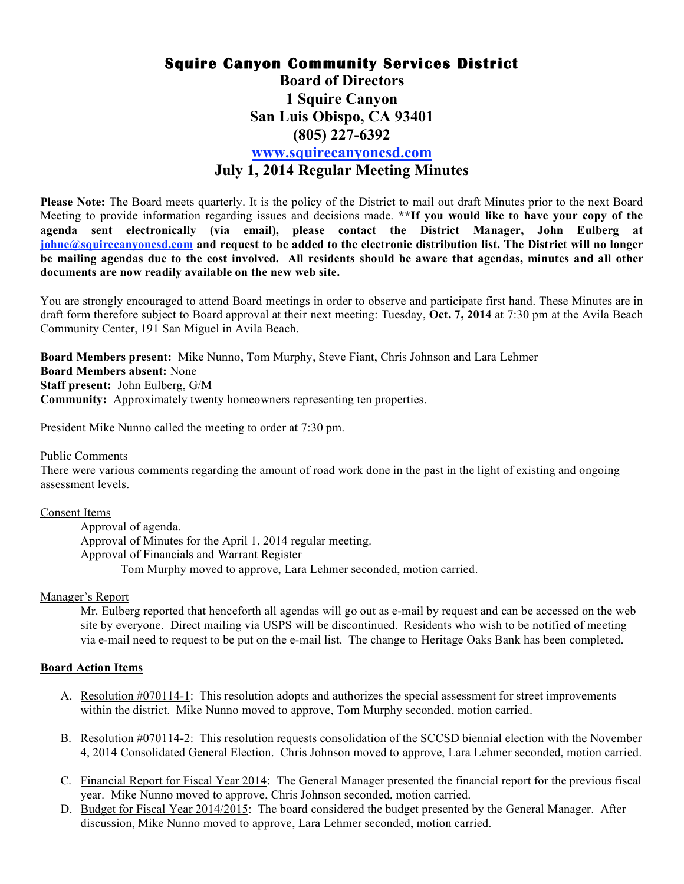# **Squire Canyon Community Services District Board of Directors 1 Squire Canyon San Luis Obispo, CA 93401 (805) 227-6392 www.squirecanyoncsd.com July 1, 2014 Regular Meeting Minutes**

**Please Note:** The Board meets quarterly. It is the policy of the District to mail out draft Minutes prior to the next Board Meeting to provide information regarding issues and decisions made. **\*\*If you would like to have your copy of the agenda sent electronically (via email), please contact the District Manager, John Eulberg at johne@squirecanyoncsd.com and request to be added to the electronic distribution list. The District will no longer be mailing agendas due to the cost involved. All residents should be aware that agendas, minutes and all other documents are now readily available on the new web site.**

You are strongly encouraged to attend Board meetings in order to observe and participate first hand. These Minutes are in draft form therefore subject to Board approval at their next meeting: Tuesday, **Oct. 7, 2014** at 7:30 pm at the Avila Beach Community Center, 191 San Miguel in Avila Beach.

**Board Members present:** Mike Nunno, Tom Murphy, Steve Fiant, Chris Johnson and Lara Lehmer **Board Members absent:** None **Staff present:** John Eulberg, G/M **Community:** Approximately twenty homeowners representing ten properties.

President Mike Nunno called the meeting to order at 7:30 pm.

### Public Comments

There were various comments regarding the amount of road work done in the past in the light of existing and ongoing assessment levels.

Consent Items Approval of agenda. Approval of Minutes for the April 1, 2014 regular meeting. Approval of Financials and Warrant Register Tom Murphy moved to approve, Lara Lehmer seconded, motion carried.

## Manager's Report

Mr. Eulberg reported that henceforth all agendas will go out as e-mail by request and can be accessed on the web site by everyone. Direct mailing via USPS will be discontinued. Residents who wish to be notified of meeting via e-mail need to request to be put on the e-mail list. The change to Heritage Oaks Bank has been completed.

## **Board Action Items**

- A. Resolution #070114-1: This resolution adopts and authorizes the special assessment for street improvements within the district. Mike Nunno moved to approve, Tom Murphy seconded, motion carried.
- B. Resolution #070114-2: This resolution requests consolidation of the SCCSD biennial election with the November 4, 2014 Consolidated General Election. Chris Johnson moved to approve, Lara Lehmer seconded, motion carried.
- C. Financial Report for Fiscal Year 2014: The General Manager presented the financial report for the previous fiscal year. Mike Nunno moved to approve, Chris Johnson seconded, motion carried.
- D. Budget for Fiscal Year 2014/2015: The board considered the budget presented by the General Manager. After discussion, Mike Nunno moved to approve, Lara Lehmer seconded, motion carried.